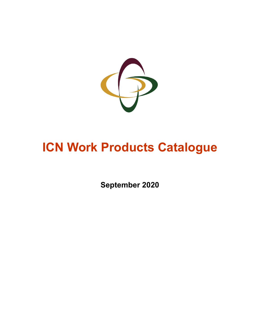

# **ICN Work Products Catalogue**

**September 2020**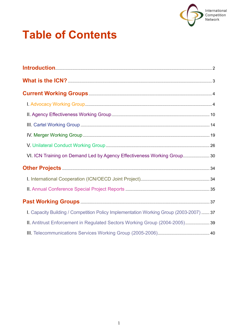

# **Table of Contents**

| VI. ICN Training on Demand Led by Agency Effectiveness Working Group 30                |
|----------------------------------------------------------------------------------------|
|                                                                                        |
|                                                                                        |
|                                                                                        |
|                                                                                        |
| I. Capacity Building / Competition Policy Implementation Working Group (2003-2007)  37 |
| II. Antitrust Enforcement in Regulated Sectors Working Group (2004-2005) 39            |
|                                                                                        |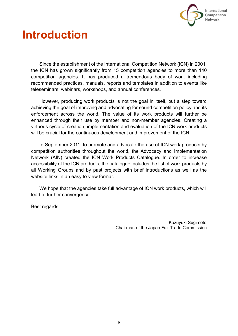

# <span id="page-2-0"></span>**Introduction**

Since the establishment of the International Competition Network (ICN) in 2001, the ICN has grown significantly from 15 competition agencies to more than 140 competition agencies. It has produced a tremendous body of work including recommended practices, manuals, reports and templates in addition to events like teleseminars, webinars, workshops, and annual conferences.

However, producing work products is not the goal in itself, but a step toward achieving the goal of improving and advocating for sound competition policy and its enforcement across the world. The value of its work products will further be enhanced through their use by member and non-member agencies. Creating a virtuous cycle of creation, implementation and evaluation of the ICN work products will be crucial for the continuous development and improvement of the ICN.

In September 2011, to promote and advocate the use of ICN work products by competition authorities throughout the world, the Advocacy and Implementation Network (AIN) created the ICN Work Products Catalogue. In order to increase accessibility of the ICN products, the catalogue includes the list of work products by all Working Groups and by past projects with brief introductions as well as the website links in an easy to view format.

We hope that the agencies take full advantage of ICN work products, which will lead to further convergence.

Best regards,

Kazuyuki Sugimoto Chairman of the Japan Fair Trade Commission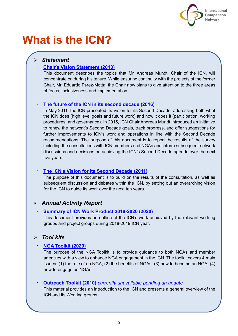

# <span id="page-3-0"></span>**What is the ICN?**

# *Statement*

# ・ **Chair**'**[s Vision Statement \(2013\)](https://www.internationalcompetitionnetwork.org/wp-content/uploads/2018/07/ICNSGMundtVision.pdf)**

This document describes the topics that Mr. Andreas Mundt, Chair of the ICN, will concentrate on during his tenure. While ensuring continuity with the projects of the former Chair, Mr. Eduardo Pérez-Motta, the Chair now plans to give attention to the three areas of focus, inclusiveness and implementation.

# [The future of the ICN in its second decade \(2016\)](https://www.internationalcompetitionnetwork.org/wp-content/uploads/2018/09/ICN2dDecade2016.pdf)

In May 2011, the ICN presented its Vision for its Second Decade, addressing both what the ICN does (high level goals and future work) and how it does it (participation, working procedures, and governance). In 2015, ICN Chair Andreas Mundt introduced an initiative to renew the network's Second Decade goals, track progress, and offer suggestions for further improvements to ICN's work and operations in line with the Second Decade recommendations. The purpose of this document is to report the results of the survey including the consultations with ICN members and NGAs and inform subsequent network discussions and decisions on achieving the ICN's Second Decade agenda over the next five years.

# **The ICN'[s Vision for its Second Decade \(2011\)](https://www.internationalcompetitionnetwork.org/wp-content/uploads/2018/07/ICN2dDecade2011.pdf)**

The purpose of this document is to build on the results of the consultation, as well as subsequent discussion and debates within the ICN, by setting out an overarching vision for the ICN to guide its work over the next ten years.

# *Annual Activity Report*

# ・ **[Summary of ICN Work Product 2019-2020](https://www.internationalcompetitionnetwork.org/wp-content/uploads/2020/12/ICN2019-2020WPSummary.pdf) (2020)**

This document provides an outline of the ICN's work achieved by the relevant working groups and project groups during 2018-2019 ICN year.

# *Tool kits*

# ・ **[NGA Toolkit \(2020\)](https://www.internationalcompetitionnetwork.org/portfolio/icn-nga-toolkit/)**

The purpose of the NGA Toolkit is to provide guidance to both NGAs and member agencies with a view to enhance NGA engagement in the ICN. The toolkit covers 4 main issues: (1) the role of an NGA; (2) the benefits of NGAs; (3) how to become an NGA; (4) how to engage as NGAs.

# ・ **Outreach Toolkit (2010)** *currently unavailable pending an update*

This material provides an introduction to the ICN and presents a general overview of the ICN and its Working groups.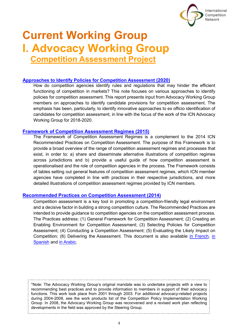

# <span id="page-4-1"></span><span id="page-4-0"></span>**Current Working Group I. Advocacy Working Group Competition Assessment Project**

#### **[Approaches to Identify Policies for Competition Assessment](https://www.internationalcompetitionnetwork.org/portfolio/advocacy-handbook-approaches-to-identify-policies-for-competition-assessment/) (2020)**

How do competition agencies identify rules and regulations that may hinder the efficient functioning of competition in markets? This note focuses on various approaches to identify policies for competition assessment. This report presents input from Advocacy Working Group members on approaches to identify candidate provisions for competition assessment. The emphasis has been, particularly, to identify innovative approaches to ex officio identification of candidates for competition assessment, in line with the focus of the work of the ICN Advocacy Working Group for 2018-2020.

#### **[Framework of Competition Assessment Regimes \(2015\)](https://www.internationalcompetitionnetwork.org/portfolio/framework-of-competition-assessment-regimes/)**

The Framework of Competition Assessment Regimes is a complement to the 2014 ICN Recommended Practices on Competition Assessment. The purpose of this Framework is to provide a broad overview of the range of competition assessment regimes and processes that exist, in order to: a) share and disseminate alternative illustrations of competition regimes across jurisdictions and b) provide a useful guide of how competition assessment is operationalised and the role of competition agencies in the process. The Framework consists of tables setting out general features of competition assessment regimes, which ICN member agencies have completed in line with practices in their respective jurisdictions, and more detailed illustrations of competition assessment regimes provided by ICN members.

#### **[Recommended Practices on Competition Assessment \(2014\)](https://www.internationalcompetitionnetwork.org/portfolio/recommended-practices-on-competition-assessment/)**

Competition assessment is a key tool in promoting a competition-friendly legal environment and a decisive factor in building a strong competition culture. The Recommended Practices are intended to provide guidance to competition agencies on the competition assessment process. The Practices address: (1) General Framework for Competition Assessment; (2) Creating an Enabling Environment for Competition Assessment; (3) Selecting Policies for Competition Assessment; (4) Conducting a Competition Assessment; (5) Evaluating the Likely Impact on Competition; (6) Delivering the Assessment. This document is also available [in French,](https://www.internationalcompetitionnetwork.org/portfolio/recommended-practices-competition-assessment-fr/) [in](https://www.internationalcompetitionnetwork.org/portfolio/recommended-practices-competition-assessment-sp/)  [Spanish](https://www.internationalcompetitionnetwork.org/portfolio/recommended-practices-competition-assessment-sp/) and [in Arabic.](https://www.internationalcompetitionnetwork.org/portfolio/recommended-practices-competition-assessment-ar/)

\*Note: The Advocacy Working Group's original mandate was to undertake projects with a view to recommending best practices and to provide information to members in support of their advocacy functions. This work took place from 2001 through 2003. For additional advocacy-related projects during 2004-2008, see the work products list of the Competition Policy Implementation Working Group. In 2008, the Advocacy Working Group was reconvened and a revised work plan reflecting developments in the field was approved by the Steering Group.

4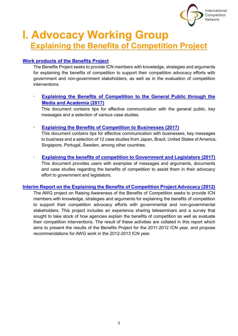

# **I. Advocacy Working Group Explaining the Benefits of Competition Project**

# **Work products of the Benefits Project**

The Benefits Project seeks to provide ICN members with knowledge, strategies and arguments for explaining the benefits of competition to support their competition advocacy efforts with government and non-government stakeholders, as well as in the evaluation of competition interventions.

# • **[Explaining the Benefits of Competition to the General Public through the](https://www.internationalcompetitionnetwork.org/portfolio/explaining-the-benefits-of-competition-to-the-public/)  [Media and Academia](https://www.internationalcompetitionnetwork.org/portfolio/explaining-the-benefits-of-competition-to-the-public/) (2017)**

This document contains tips for effective communication with the general public, key messages and a selection of various case studies.

• **[Explaining the Benefits of Competition to Businesses \(2017\)](https://www.internationalcompetitionnetwork.org/portfolio/explaining-the-benefits-of-competition-to-business/)**

This document contains tips for effective communication with businesses, key messages to business and a selection of 12 case studies from Japan, Brazil, United States of America, Singapore, Portugal, Sweden, among other countries.

# • **[Explaining the benefits of competition to Government and Legislators \(2017\)](https://www.internationalcompetitionnetwork.org/portfolio/explaining-the-benefits-of-competition-to-government/)**

This document provides users with examples of messages and arguments, documents and case studies regarding the benefits of competition to assist them in their advocacy effort to government and legislators.

# **[Interim Report on the Explaining the Benefits of Competition Project Advocacy \(2012\)](https://www.internationalcompetitionnetwork.org/portfolio/explaining-the-benefits-of-competition-interim-report-2012/)**

The AWG project on Raising Awareness of the Benefits of Competition seeks to provide ICN members with knowledge, strategies and arguments for explaining the benefits of competition to support their competition advocacy efforts with governmental and non-governmental stakeholders. This project includes an experience sharing teleseminars and a survey that sought to take stock of how agencies explain the benefits of competition as well as evaluate their competition interventions. The result of these activities are collated in this report which aims to present the results of the Benefits Project for the 2011-2012 ICN year, and propose recommendations for AWG work in the 2012-2013 ICN year.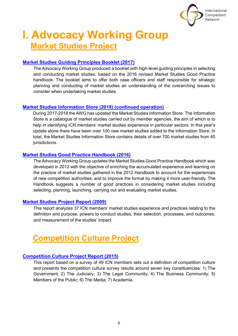

# **I. Advocacy Working Group Market Studies Project**

# **[Market Studies Guiding Principles Booklet \(2017\)](https://www.internationalcompetitionnetwork.org/portfolio/market-studies-guiding-principles-booklet/)**

The Advocacy Working Group produced a booklet with high-level guiding principles in selecting and conducting market studies, based on the 2016 revised Market Studies Good Practice handbook. The booklet aims to offer both case officers and staff responsible for strategic planning and conducting of market studies an understanding of the overarching issues to consider when undertaking market studies.

# **[Market Studies Information Store \(2018\)](https://www.internationalcompetitionnetwork.org/working-groups/advocacy/market-studies/market-studies-information-store/) (continued operation)**

During 2017-2018 the AWG has updated the Market Studies Information Store. The Information Store is a catalogue of market studies carried out by member agencies, the aim of which is to help in identifying ICN members' market studies experience in particular sectors. In this year's update alone there have been over 100 new market studies added to the Information Store. In total, the Market Studies Information Store contains details of over 700 market studies from 45 jurisdictions.

# **[Market Studies Good Practice Handbook \(2016\)](https://www.internationalcompetitionnetwork.org/portfolio/market-studies-good-practice-handbook/)**

The Advocacy Working Group updates the Market Studies Good Practice Handbook which was developed in 2012 with the objective of enriching the accumulated experience and learning on the practice of market studies gathered in the 2012 Handbook to account for the experiences of new competition authorities; and to improve the format by making it more user-friendly. The Handbook suggests a number of good practices in considering market studies including selecting, planning, launching, carrying out and evaluating market studies.

# **[Market Studies Project Report](https://www.internationalcompetitionnetwork.org/portfolio/market-studies-report/) (2009)**

This report analyzes 37 ICN members' market studies experience and practices relating to the definition and purpose, powers to conduct studies, their selection, processes, and outcomes, and measurement of the studies' impact.

# **Competition Culture Project**

# **[Competition Culture Project Report \(2015\)](https://www.internationalcompetitionnetwork.org/portfolio/competition-culture-project-report/)**

This report based on a survey of 49 ICN members sets out a definition of competition culture and presents the competition culture survey results around seven key constituencies: 1) The Government; 2) The Judiciary; 3) The Legal Community; 4) The Business Community; 5) Members of the Public; 6) The Media; 7) Academia.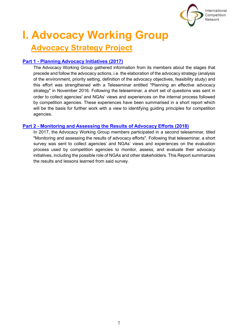

# **I. Advocacy Working Group Advocacy Strategy Project**

# **Part 1 - [Planning Advocacy Initiatives \(2017\)](https://www.internationalcompetitionnetwork.org/portfolio/planning-advocacy-initiatives/)**

The Advocacy Working Group gathered information from its members about the stages that precede and follow the advocacy actions, i.e. the elaboration of the advocacy strategy (analysis of the environment, priority setting, definition of the advocacy objectives, feasibility study) and this effort was strengthened with a Teleseminar entitled "Planning an effective advocacy strategy" in November 2016. Following the teleseminar, a short set of questions was sent in order to collect agencies' and NGAs' views and experiences on the internal process followed by competition agencies. These experiences have been summarised in a short report which will be the basis for further work with a view to identifying guiding principles for competition agencies.

### **Part 2 - [Monitoring and Assessing the Results of Advocacy Efforts \(2018\)](https://www.internationalcompetitionnetwork.org/portfolio/assessing-advocacy-strategies/)**

In 2017, the Advocacy Working Group members participated in a second teleseminar, titled "Monitoring and assessing the results of advocacy efforts". Following that teleseminar, a short survey was sent to collect agencies' and NGAs' views and experiences on the evaluation process used by competition agencies to monitor, assess, and evaluate their advocacy initiatives, including the possible role of NGAs and other stakeholders. This Report summarizes the results and lessons learned from said survey.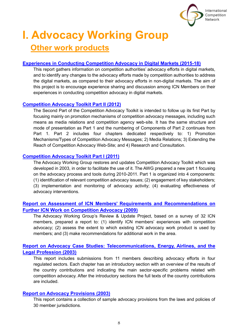

# **I. Advocacy Working Group Other work products**

# **[Experiences in Conducting Competition Advocacy in Digital Markets \(2015-18\)](https://www.internationalcompetitionnetwork.org/portfolio/conducting-competition-advocacy-in-digital-markets/)**

This report gathers information on competition authorities' advocacy efforts in digital markets, and to identify any changes to the advocacy efforts made by competition authorities to address the digital markets, as compared to their advocacy efforts in non-digital markets. The aim of this project is to encourage experience sharing and discussion among ICN Members on their experiences in conducting competition advocacy in digital markets.

# **[Competition Advocacy Toolkit Part II \(2012\)](https://www.internationalcompetitionnetwork.org/portfolio/competition-advocacy-toolkit-part-ii/)**

The Second Part of the Competition Advocacy Toolkit is intended to follow up its first Part by focusing mainly on promotion mechanisms of competition advocacy messages, including such means as media relations and competition agency web-site. It has the same structure and mode of presentation as Part 1 and the numbering of Components of Part 2 continues from Part 1. Part 2 includes four chapters dedicated respectively to: 1) Promotion Mechanisms/Types of Competition Advocacy Messages; 2) Media Relations; 3) Extending the Reach of Competition Advocacy Web-Site; and 4) Research and Consultation.

# **[Competition Advocacy Toolkit Part I](https://www.internationalcompetitionnetwork.org/portfolio/competition-advocacy-toolkit-part-i/) (2011)**

The Advocacy Working Group restores and updates Competition Advocacy Toolkit which was developed in 2003, in order to facilitate the use of it. The AWG prepared a new part 1 focusing on the advocacy process and tools during 2010-2011. Part 1 is organized into 4 components: (1) identification of relevant competition advocacy issues; (2) engagement of key stakeholders; (3) implementation and monitoring of advocacy activity; (4) evaluating effectiveness of advocacy interventions.

# **Report on Assessment of ICN Members**' **[Requirements and Recommendations on](https://www.internationalcompetitionnetwork.org/portfolio/assessment-of-icn-work-on-competition-advocacy-2009/)  [Further ICN Work on Competition Advocacy \(2009\)](https://www.internationalcompetitionnetwork.org/portfolio/assessment-of-icn-work-on-competition-advocacy-2009/)**

The Advocacy Working Group's Review & Update Project, based on a survey of 32 ICN members, prepared a report to: (1) identify ICN members' experiences with competition advocacy; (2) assess the extent to which existing ICN advocacy work product is used by members; and (3) make recommendations for additional work in the area.

# **Report on Advocacy Case [Studies: Telecommunications, Energy, Airlines, and the](https://www.internationalcompetitionnetwork.org/portfolio/report-on-advocacy-case-studies/)  [Legal Profession \(2003\)](https://www.internationalcompetitionnetwork.org/portfolio/report-on-advocacy-case-studies/)**

This report includes submissions from 11 members describing advocacy efforts in four regulated sectors. Each chapter has an introductory section with an overview of the results of the country contributions and indicating the main sector-specific problems related with competition advocacy. After the introductory sections the full texts of the country contributions are included.

# **[Report on Advocacy Provisions \(2003\)](https://www.internationalcompetitionnetwork.org/portfolio/report-on-advocacy-provisions/)**

This report contains a collection of sample advocacy provisions from the laws and policies of 30 member jurisdictions.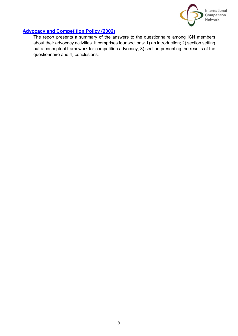

# **[Advocacy and Competition Policy \(2002\)](https://www.internationalcompetitionnetwork.org/portfolio/advocacy-and-competition-policy/)**

The report presents a summary of the answers to the questionnaire among ICN members about their advocacy activities. It comprises four sections: 1) an introduction; 2) section setting out a conceptual framework for competition advocacy; 3) section presenting the results of the questionnaire and 4) conclusions.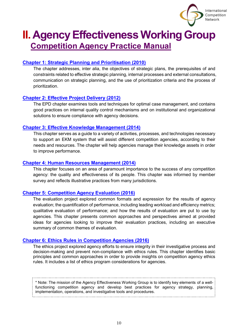

# <span id="page-10-0"></span>**II. Agency Effectiveness Working Group Competition Agency Practice Manual**

# **[Chapter 1: Strategic Planning and](https://www.internationalcompetitionnetwork.org/portfolio/competition-agency-practice-manual-strategic-planning-and-prioritisation/) Prioritisation (2010)**

The chapter addresses, inter alia, the objectives of strategic plans, the prerequisites of and constraints related to effective strategic planning, internal processes and external consultations, communication on strategic planning, and the use of prioritization criteria and the process of prioritization.

# **[Chapter 2: Effective Project Delivery \(2012\)](https://www.internationalcompetitionnetwork.org/portfolio/competition-agency-practice-manual-effective-project-delivery/)**

The EPD chapter examines tools and techniques for optimal case management, and contains good practices on internal quality control mechanisms and on institutional and organizational solutions to ensure compliance with agency decisions.

### **[Chapter 3: Effective Knowledge Management \(2014\)](https://www.internationalcompetitionnetwork.org/portfolio/competition-agency-practice-manual-effective-knowledge/)**

This chapter serves as a guide to a variety of activities, processes, and technologies necessary to support an EKM system that will assist different competition agencies, according to their needs and resources. The chapter will help agencies manage their knowledge assets in order to improve performance.

### **[Chapter 4: Human Resources Management \(2014\)](https://www.internationalcompetitionnetwork.org/portfolio/competition-agency-practice-manual-hr-management/)**

This chapter focuses on an area of paramount importance to the success of any competition agency: the quality and effectiveness of its people. This chapter was informed by member survey and reflects illustrative practices from many jurisdictions.

# **[Chapter 5: Competition Agency Evaluation \(2016\)](https://www.internationalcompetitionnetwork.org/portfolio/competition-agency-practice-manual-evaluation/)**

The evaluation project explored common formats and expression for the results of agency evaluation; the quantification of performance, including leading workload and efficiency metrics; qualitative evaluation of performance; and how the results of evaluation are put to use by agencies. This chapter presents common approaches and perspectives aimed at provided ideas for agencies looking to improve their evaluation practices, including an executive summary of common themes of evaluation.

# **[Chapter 6: Ethics Rules in Competition Agencies \(2016\)](https://www.internationalcompetitionnetwork.org/portfolio/competition-agency-practice-manual-ethics/)**

The ethics project explored agency efforts to ensure integrity in their investigative process and decision-making and prevent non-compliance with ethics rules. This chapter identifies basic principles and common approaches in order to provide insights on competition agency ethics rules. It includes a list of ethics program considerations for agencies.

\* Note: The mission of the Agency Effectiveness Working Group is to identify key elements of a wellfunctioning competition agency and develop best practices for agency strategy, planning, implementation, operations, and investigative tools and procedures.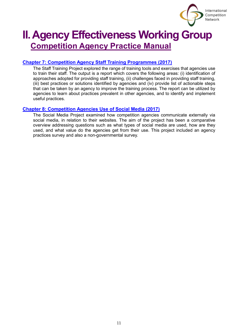

# **II. Agency Effectiveness Working Group Competition Agency Practice Manual**

# **Chapter 7: [Competition Agency Staff Training Programmes](https://www.internationalcompetitionnetwork.org/portfolio/competition-agency-practice-manual-training/) (2017)**

The Staff Training Project explored the range of training tools and exercises that agencies use to train their staff. The output is a report which covers the following areas: (i) identification of approaches adopted for providing staff training, (ii) challenges faced in providing staff training, (iii) best practices or solutions identified by agencies and (iv) provide list of actionable steps that can be taken by an agency to improve the training process. The report can be utilized by agencies to learn about practices prevalent in other agencies, and to identify and implement useful practices.

### **Chapter 8: [Competition Agencies Use of Social Media \(2017\)](https://www.internationalcompetitionnetwork.org/portfolio/competition-agency-practice-manual-social-media/)**

The Social Media Project examined how competition agencies communicate externally via social media, in relation to their websites. The aim of the project has been a comparative overview addressing questions such as what types of social media are used, how are they used, and what value do the agencies get from their use. This project included an agency practices survey and also a non-governmental survey.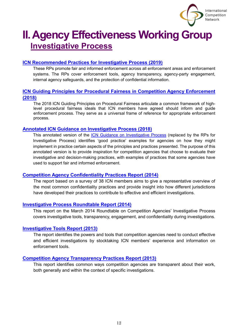

# **II. Agency Effectiveness Working Group Investigative Process**

# <span id="page-12-0"></span>**[ICN Recommended Practices for](https://www.internationalcompetitionnetwork.org/portfolio/recommended-practices-for-investigative-process/) Investigative Process (2019)**

These RPs promote fair and informed enforcement across all enforcement areas and enforcement systems. The RPs cover enforcement tools, agency transparency, agency-party engagement, internal agency safeguards, and the protection of confidential information.

# <span id="page-12-1"></span>**[ICN Guiding Principles for Procedural Fairness in Competition Agency Enforcement](https://www.internationalcompetitionnetwork.org/portfolio/guiding-principles-for-procedural-fairness/)  [\(2018\)](https://www.internationalcompetitionnetwork.org/portfolio/guiding-principles-for-procedural-fairness/)**

The 2018 ICN Guiding Principles on Procedural Fairness articulate a common framework of highlevel procedural fairness ideals that ICN members have agreed should inform and guide enforcement process. They serve as a universal frame of reference for appropriate enforcement process.

### **[Annotated ICN Guidance on Investigative Process \(2018\)](https://www.internationalcompetitionnetwork.org/portfolio/annotated-icn-guidance-on-investigative-process/)**

This annotated version of the [ICN Guidance on Investigative Process](https://www.internationalcompetitionnetwork.org/portfolio/guidance-on-investigative-process/) (replaced by the RPs for Investigative Process) identifies 'good practice' examples for agencies on how they might implement in practice certain aspects of the principles and practices presented. The purpose of this annotated version is to provide inspiration for competition agencies that choose to evaluate their investigative and decision-making practices, with examples of practices that some agencies have used to support fair and informed enforcement.

# **[Competition Agency Confidentiality Practices Report \(2014\)](https://www.internationalcompetitionnetwork.org/portfolio/competition-agency-confidentiality-practices-report/)**

The report based on a survey of 38 ICN members aims to give a representative overview of the most common confidentiality practices and provide insight into how different jurisdictions have developed their practices to contribute to effective and efficient investigations.

#### **[Investigative Process Roundtable Report \(2014\)](https://www.internationalcompetitionnetwork.org/portfolio/investigative-process-roundtable-report/)**

This report on the March 2014 Roundtable on Competition Agencies' Investigative Process covers investigative tools, transparency, engagement, and confidentiality during investigations.

#### **[Investigative Tools Report \(2013\)](https://www.internationalcompetitionnetwork.org/portfolio/investigative-tools-report/)**

The report identifies the powers and tools that competition agencies need to conduct effective and efficient investigations by stocktaking ICN members' experience and information on enforcement tools.

### **[Competition Agency Transparency Practices Report](https://www.internationalcompetitionnetwork.org/portfolio/competition-agency-transparency-practices-report/) (2013)**

This report identifies common ways competition agencies are transparent about their work, both generally and within the context of specific investigations.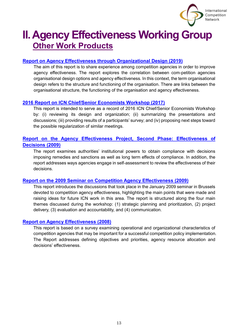

# **II. Agency Effectiveness Working Group Other Work Products**

# **[Report on Agency Effectiveness through Organizational Design \(2019\)](https://www.internationalcompetitionnetwork.org/portfolio/agency-effectiveness-through-organisational-design/)**

The aim of this report is to share experience among competition agencies in order to improve agency effectiveness. The report explores the correlation between com-petition agencies organisational design options and agency effectiveness. In this context, the term organisational design refers to the structure and functioning of the organisation. There are links between the organisational structure, the functioning of the organisation and agency effectiveness.

# **2016 [Report on ICN Chief/Senior Economists Workshop \(2017\)](https://www.internationalcompetitionnetwork.org/portfolio/2016-economist-workshop-report/)**

This report is intended to serve as a record of 2016 ICN Chief/Senior Economists Workshop by: (i) reviewing its design and organization; (ii) summarizing the presentations and discussions; (iii) providing results of a participants' survey; and (iv) proposing next steps toward the possible regularization of similar meetings.

# **[Report on the Agency Effectiveness Project, Second Phase: Effectiveness of](https://www.internationalcompetitionnetwork.org/portfolio/report-on-agency-effectiveness-of-decisions/)  [Decisions \(2009\)](https://www.internationalcompetitionnetwork.org/portfolio/report-on-agency-effectiveness-of-decisions/)**

The report examines authorities' institutional powers to obtain compliance with decisions imposing remedies and sanctions as well as long term effects of compliance. In addition, the report addresses ways agencies engage in self-assessment to review the effectiveness of their decisions.

# **[Report on the 2009 Seminar on Competition Agency Effectiveness \(2009\)](https://www.internationalcompetitionnetwork.org/portfolio/2009-seminar-on-competition-agency-effectiveness/)**

This report introduces the discussions that took place in the January 2009 seminar in Brussels devoted to competition agency effectiveness, highlighting the main points that were made and raising ideas for future ICN work in this area. The report is structured along the four main themes discussed during the workshop: (1) strategic planning and prioritization, (2) project delivery, (3) evaluation and accountability, and (4) communication.

# **[Report on Agency Effectiveness \(2008\)](https://www.internationalcompetitionnetwork.org/portfolio/report-on-agency-effectiveness/)**

This report is based on a survey examining operational and organizational characteristics of competition agencies that may be important for a successful competition policy implementation. The Report addresses defining objectives and priorities, agency resource allocation and decisions' effectiveness.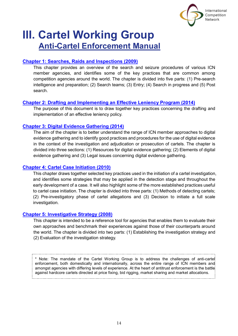

# <span id="page-14-0"></span>**III. Cartel Working Group Anti-Cartel Enforcement Manual**

# **[Chapter 1: Searches, Raids and Inspections \(2009\)](https://www.internationalcompetitionnetwork.org/portfolio/searches-raids-and-inspections/)**

This chapter provides an overview of the search and seizure procedures of various ICN member agencies, and identifies some of the key practices that are common among competition agencies around the world. The chapter is divided into five parts: (1) Pre-search intelligence and preparation; (2) Search teams; (3) Entry; (4) Search in progress and (5) Post search.

# **[Chapter 2: Drafting and Implementing an Effective Leniency Program \(2014\)](https://www.internationalcompetitionnetwork.org/portfolio/leniency-program/)**

The purpose of this document is to draw together key practices concerning the drafting and implementation of an effective leniency policy.

# **[Chapter 3: Digital Evidence Gathering \(2014\)](https://www.internationalcompetitionnetwork.org/portfolio/digital-evidence-gathering/)**

The aim of the chapter is to better understand the range of ICN member approaches to digital evidence gathering and to identify good practices and procedures for the use of digital evidence in the context of the investigation and adjudication or prosecution of cartels. The chapter is divided into three sections: (1) Resources for digital evidence gathering; (2) Elements of digital evidence gathering and (3) Legal issues concerning digital evidence gathering.

# **[Chapter 4: Cartel Case Initiation \(2010\)](https://www.internationalcompetitionnetwork.org/portfolio/case-initiation/)**

This chapter draws together selected key practices used in the initiation of a cartel investigation, and identifies some strategies that may be applied in the detection stage and throughout the early development of a case. It will also highlight some of the more established practices useful to cartel case initiation. The chapter is divided into three parts: (1) Methods of detecting cartels; (2) Pre-investigatory phase of cartel allegations and (3) Decision to initiate a full scale investigation.

# **[Chapter 5: Investigative Strategy \(2008\)](https://www.internationalcompetitionnetwork.org/portfolio/investigative-strategy/)**

This chapter is intended to be a reference tool for agencies that enables them to evaluate their own approaches and benchmark their experiences against those of their counterparts around the world. The chapter is divided into two parts: (1) Establishing the investigation strategy and (2) Evaluation of the investigation strategy.

\* Note: The mandate of the Cartel Working Group is to address the challenges of anti-cartel enforcement, both domestically and internationally, across the entire range of ICN members and amongst agencies with differing levels of experience. At the heart of antitrust enforcement is the battle against hardcore cartels directed at price fixing, bid rigging, market sharing and market allocations.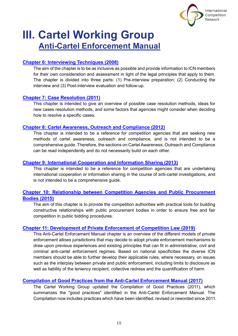

# **III. Cartel Working Group Anti-Cartel Enforcement Manual**

# **[Chapter 6: Interviewing Techniques \(2008\)](https://www.internationalcompetitionnetwork.org/portfolio/interviewing-techniques/)**

The aim of the chapter is to be as inclusive as possible and provide information to ICN members for their own consideration and assessment in light of the legal principles that apply to them. The chapter is divided into three parts: (1) Pre-interview preparation; (2) Conducting the interview and (3) Post-interview evaluation and follow-up.

# **[Chapter 7: Case Resolution \(2011\)](https://www.internationalcompetitionnetwork.org/portfolio/case-resolution/)**

This chapter is intended to give an overview of possible case resolution methods, ideas for new cases resolution methods, and some factors that agencies might consider when deciding how to resolve a specific cases.

# **[Chapter 8: Cartel Awareness, Outreach and Compliance \(2012\)](https://www.internationalcompetitionnetwork.org/portfolio/awareness-outreach-and-compliance/)**

This chapter is intended to be a reference for competition agencies that are seeking new methods of cartel awareness, outreach and compliance, and is not intended to be a comprehensive guide. Therefore, the sections on Cartel Awareness, Outreach and Compliance can be read independently and do not necessarily build on each other.

# **[Chapter 9: International Cooperation and Information Sharing \(2013\)](https://www.internationalcompetitionnetwork.org/portfolio/international-cooperation/)**

This chapter is intended to be a reference for competition agencies that are undertaking international cooperation or information sharing in the course of anti-cartel investigations, and is not intended to be a comprehensive guide.

# **[Chapter 10: Relationship between Competition Agencies and Public Procurement](https://www.internationalcompetitionnetwork.org/portfolio/public-procurement-relationships/)  [Bodies \(2015\)](https://www.internationalcompetitionnetwork.org/portfolio/public-procurement-relationships/)**

The aim of this chapter is to provide the competition authorities with practical tools for building constructive relationships with public procurement bodies in order to ensure free and fair competition in public bidding procedures.

# **[Chapter 11: Development of Private Enforcement of Competition Law \(2019\)](https://www.internationalcompetitionnetwork.org/portfolio/privateenforcement/)**

This Anti-Cartel Enforcement Manual chapter is an overview of the different models of private enforcement allows jurisdictions that may decide to adopt private enforcement mechanisms to draw upon previous experiences and existing principles that can fit in administrative, civil and criminal anti-cartel enforcement regimes. Based on national specificities the diverse ICN members should be able to further develop their applicable rules, where necessary, on issues such as the interplay between private and public enforcement, including limits to disclosure as well as liability of the leniency recipient, collective redress and the quantification of harm.

# **[Compilation of Good Practices from the Anti-Cartel Enforcement Manual \(2017\)](https://www.internationalcompetitionnetwork.org/portfolio/good-practices/)**

The Cartel Working Group updated the Compilation of Good Practices (2011), which summarizes the "good practices" identified in the Anti-Cartel Enforcement Manual. The Compilation now includes practices which have been identified, revised or reworded since 2011.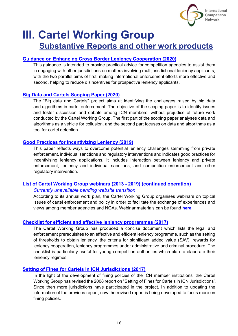

# **III. Cartel Working Group Substantive Reports and other work products**

# **[Guidance on Enhancing Cross Border Leniency Cooperation \(2020\)](https://www.internationalcompetitionnetwork.org/portfolio/guidance-on-enhancing-cross-border-leniency-cooperation/)**

This guidance is intended to provide practical advice for competition agencies to assist them in engaging with other jurisdictions on matters involving multijurisdictional leniency applicants, with the two parallel aims of first, making international enforcement efforts more effective and second, helping to reduce disincentives for prospective leniency applicants.

# **[Big Data and Cartels Scoping Paper](https://www.internationalcompetitionnetwork.org/portfolio/big-data-cartels-scoping-paper/) (2020)**

The "Big data and Cartels" project aims at identifying the challenges raised by big data and algorithms in cartel enforcement. The objective of the scoping paper is to identify issues and foster discussion and debate among ICN members, without prejudice of future work conducted by the Cartel Working Group. The first part of the scoping paper analyses data and algorithms as a vehicle for collusion, and the second part focuses on data and algorithms as a tool for cartel detection.

# **[Good Practices for Incentivizing Leniency \(2019\)](https://www.internationalcompetitionnetwork.org/portfolio/good-practices-for-incentivising-leniency-applications/)**

This paper reflects ways to overcome potential leniency challenges stemming from private enforcement, individual sanctions and regulatory interventions and indicates good practices for incentivising leniency applications. It includes interaction between leniency and private enforcement; leniency and individual sanctions; and competition enforcement and other regulatory intervention.

# **[List of Cartel Working Group webinars \(2013 -](http://ec.europa.eu/competition/cartels/icn/webinars.pdf) 2019) (continued operation)**

#### *Currently unavailable pending website transition*

According to its annual work plan, the Cartel Working Group organises webinars on topical issues of cartel enforcement and policy in order to facilitate the exchange of experiences and views among member agencies and NGAs. Webinar materials can be found **[here](http://ec.europa.eu/competition/cartels/icn/index_en.html)**.

# **[Checklist for efficient and effective leniency programmes \(2017\)](https://www.internationalcompetitionnetwork.org/portfolio/leniency-program-checklist/)**

The Cartel Working Group has produced a concise document which lists the legal and enforcement prerequisites to an effective and efficient leniency programme, such as the setting of thresholds to obtain leniency, the criteria for significant added value (SAV), rewards for leniency cooperation, leniency programmes under administrative and criminal procedure. The checklist is particularly useful for young competition authorities which plan to elaborate their leniency regimes.

# **[Setting of Fines for Cartels in ICN Jurisdictions](https://www.internationalcompetitionnetwork.org/portfolio/setting-fines/) (2017)**

In the light of the development of fining policies of the ICN member institutions, the Cartel Working Group has revised the 2008 report on "Setting of Fines for Cartels in ICN Jurisdictions". Since then more jurisdictions have participated in the project. In addition to updating the information of the previous report, now the revised report is being developed to focus more on fining policies.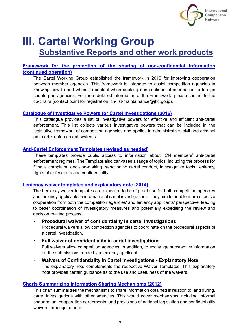

# **III. Cartel Working Group Substantive Reports and other work products**

# **[Framework for the promotion of the sharing of non-confidential information](https://www.internationalcompetitionnetwork.org/portfolio/non-confidential-information-sharing/)  [\(continued operation\)](https://www.internationalcompetitionnetwork.org/portfolio/non-confidential-information-sharing/)**

The Cartel Working Group established the framework in 2016 for improving cooperation between member agencies. This framework is intended to assist competition agencies in knowing how to and whom to contact when seeking non-confidential information to foreign counterpart agencies. For more detailed information of the Framework, please contact to the co-chairs (contact point for registration:icn-list-maintainance@jftc.go.jp).

# **[Catalogue of Investigative Powers for Cartel Investigations \(2016\)](https://www.internationalcompetitionnetwork.org/portfolio/cartel-investigative-powers/)**

This catalogue provides a list of investigative powers for effective and efficient anti-cartel enforcement. This list collects various investigative powers that can be included in the legislative framework of competition agencies and applies in administrative, civil and criminal anti-cartel enforcement systems.

#### **[Anti-Cartel Enforcement Templates \(revised as needed\)](https://www.internationalcompetitionnetwork.org/working-groups/cartel/templates/)**

These templates provide public access to information about ICN members' anti-cartel enforcement regimes. The Template also canvases a range of topics, including the process for filing a complaint, decision-making, sanctioning cartel conduct, investigative tools, leniency, rights of defendants and confidentiality.

#### **[Leniency waiver templates and explanatory note \(2014\)](https://www.internationalcompetitionnetwork.org/portfolio/leniency-waiver-template/)**

The Leniency waiver templates are expected to be of great use for both competition agencies and leniency applicants in international cartel investigations. They aim to enable more effective cooperation from both the competition agencies' and leniency applicants' perspective, leading to better coordination of investigatory measures and potentially expediting the review and decision making process.

#### ・ **Procedural waiver of confidentiality in cartel investigations**

Procedural waivers allow competition agencies to coordinate on the procedural aspects of a cartel investigation.

#### ・ **Full waiver of confidentiality in cartel investigations**

Full waivers allow competition agencies, in addition, to exchange substantive information on the submissions made by a leniency applicant.

# ・ **Waivers of Confidentiality in Cartel Investigations - Explanatory Note** The explanatory note complements the respective Waiver Templates. This explanatory note provides certain guidance as to the use and usefulness of the waivers.

#### **[Charts Summarizing Information Sharing Mechanisms \(2012\)](https://www.internationalcompetitionnetwork.org/working-groups/cartel/information-sharing/)**

This chart summarizes the mechanisms to share information obtained in relation to, and during, cartel investigations with other agencies. This would cover mechanisms including informal cooperation, cooperation agreements, and provisions of national legislation and confidentiality waivers, amongst others.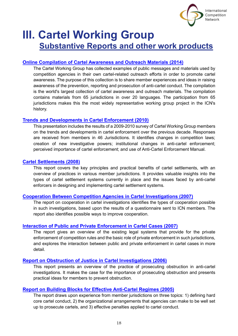

# **III. Cartel Working Group Substantive Reports and other work products**

### **Online [Compilation of Cartel Awareness and Outreach Materials \(2014\)](https://www.internationalcompetitionnetwork.org/portfolio/cartel-awareness-outreach-compilation/)**

The Cartel Working Group has collected examples of public messages and materials used by competition agencies in their own cartel-related outreach efforts in order to promote cartel awareness. The purpose of this collection is to share member experiences and ideas in raising awareness of the prevention, reporting and prosecution of anti-cartel conduct. The compilation is the world's largest collection of cartel awareness and outreach materials. The compilation contains materials from 65 jurisdictions in over 20 languages. The participation from 65 jurisdictions makes this the most widely representative working group project in the ICN's history.

### **[Trends and Developments in Cartel Enforcement \(2010\)](https://www.internationalcompetitionnetwork.org/portfolio/cartel-enforcement-trends/)**

This presentation includes the results of a 2009-2010 survey of Cartel Working Group members on the trends and developments in cartel enforcement over the previous decade. Responses are received from members in 46 Jurisdictions. It identifies changes in competition laws; creation of new investigative powers; institutional changes in anti-cartel enforcement; perceived importance of cartel enforcement; and use of Anti-Cartel Enforcement Manual.

#### **[Cartel Settlements \(2008\)](https://www.internationalcompetitionnetwork.org/portfolio/cartel-settlements/)**

This report covers the key principles and practical benefits of cartel settlements, with an overview of practices in various member jurisdictions. It provides valuable insights into the types of cartel settlement systems currently in place and the issues faced by anti-cartel enforcers in designing and implementing cartel settlement systems.

#### **[Cooperation Between Competition Agencies in Cartel Investigations \(2007\)](https://www.internationalcompetitionnetwork.org/portfolio/cartel-investigation-cooperation/)**

The report on cooperation in cartel investigations identifies the types of cooperation possible in such investigations, based upon the results of a questionnaire sent to ICN members. The report also identifies possible ways to improve cooperation.

#### **[Interaction of Public and Private Enforcement in Cartel Cases \(2007\)](https://www.internationalcompetitionnetwork.org/portfolio/private-enforcement/)**

The report gives an overview of the existing legal systems that provide for the private enforcement of competition rules and the basic role of private enforcement in such jurisdictions, and explores the interaction between public and private enforcement in cartel cases in more detail.

# **[Report on Obstruction of Justice in Cartel Investigations \(2006\)](https://www.internationalcompetitionnetwork.org/portfolio/obstruction-of-justice/)**

This report presents an overview of the practice of prosecuting obstruction in anti-cartel investigations. It makes the case for the importance of prosecuting obstruction and presents practical ideas for members to prevent obstruction.

#### **[Report on Building Blocks for Effective Anti-Cartel Regimes \(2005\)](https://www.internationalcompetitionnetwork.org/portfolio/building-blocks-report/)**

The report draws upon experience from member jurisdictions on three topics: 1) defining hard core cartel conduct, 2) the organizational arrangements that agencies can make to be well set up to prosecute cartels, and 3) effective penalties applied to cartel conduct.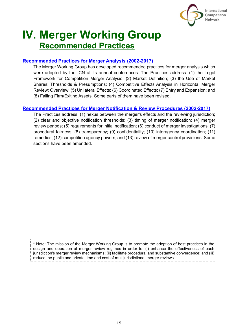

# <span id="page-19-0"></span>**IV. Merger Working Group Recommended Practices**

# **[Recommended Practices for Merger Analysis \(2002-2017\)](https://www.internationalcompetitionnetwork.org/portfolio/recommended-practices-for-merger-analysis/)**

The Merger Working Group has developed recommended practices for merger analysis which were adopted by the ICN at its annual conferences. The Practices address: (1) the Legal Framework for Competition Merger Analysis; (2) Market Definition; (3) the Use of Market Shares: Thresholds & Presumptions; (4) Competitive Effects Analysis in Horizontal Merger Review: Overview; (5) Unilateral Effects; (6) Coordinated Effects; (7) Entry and Expansion; and (8) Failing Firm/Exiting Assets. Some parts of them have been revised.

# **[Recommended Practices for Merger Notification & Review Procedures](https://www.internationalcompetitionnetwork.org/portfolio/merger-np-recommended-practices/) (2002-2017)**

The Practices address: (1) nexus between the merger's effects and the reviewing jurisdiction; (2) clear and objective notification thresholds; (3) timing of merger notification; (4) merger review periods; (5) requirements for initial notification; (6) conduct of merger investigations; (7) procedural fairness; (8) transparency; (9) confidentiality; (10) interagency coordination; (11) remedies; (12) competition agency powers; and (13) review of merger control provisions. Some sections have been amended.

\* Note: The mission of the Merger Working Group is to promote the adoption of best practices in the design and operation of merger review regimes in order to: (i) enhance the effectiveness of each jurisdiction's merger review mechanisms; (ii) facilitate procedural and substantive convergence; and (iii) reduce the public and private time and cost of multijurisdictional merger reviews.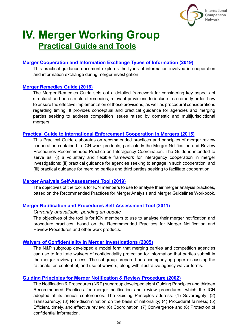

# **IV. Merger Working Group Practical Guide and Tools**

# <span id="page-20-0"></span>**[Merger Cooperation and Information Exchange Types of Information](https://www.internationalcompetitionnetwork.org/portfolio/merger-cooperation-types-of-information/) (2019)**

This practical guidance document explores the types of information involved in cooperation and information exchange during merger investigation.

# **[Merger Remedies Guide \(2016\)](https://www.internationalcompetitionnetwork.org/portfolio/merger-remedies-guide/)**

The Merger Remedies Guide sets out a detailed framework for considering key aspects of structural and non-structural remedies, relevant provisions to include in a remedy order, how to ensure the effective implementation of those provisions, as well as procedural considerations regarding timing. It provides conceptual and practical guidance for agencies and merging parties seeking to address competition issues raised by domestic and multijurisdictional mergers.

### **[Practical Guide to International Enforcement Cooperation in Mergers \(2015\)](https://www.internationalcompetitionnetwork.org/portfolio/merger-cooperation-guide/)**

This Practical Guide elaborates on recommended practices and principles of merger review cooperation contained in ICN work products, particularly the Merger Notification and Review Procedures Recommended Practice on Interagency Coordination. The Guide is intended to serve as: (i) a voluntary and flexible framework for interagency cooperation in merger investigations; (ii) practical guidance for agencies seeking to engage in such cooperation; and (iii) practical guidance for merging parties and third parties seeking to facilitate cooperation.

#### **[Merger Analysis Self-Assessment Tool \(2019\)](https://www.internationalcompetitionnetwork.org/wp-content/uploads/2019/11/MWG-MergerAnalysisRPs-Self-assessment.doc)**

The objectives of the tool is for ICN members to use to analyse their merger analysis practices, based on the Recommended Practices for Merger Analysis and Merger Guidelines Workbook.

# **Merger Notification and Procedures Self-Assessment Tool (2011)**

#### *Currently unavailable, pending an update*

The objectives of the tool is for ICN members to use to analyse their merger notification and procedure practices, based on the Recommended Practices for Merger Notification and Review Procedures and other work products.

#### **Waivers of [Confidentiality in Merger Investigations \(2005\)](https://www.internationalcompetitionnetwork.org/portfolio/model-confidentiality-waiver-for-mergers/)**

The N&P subgroup developed a model form that merging parties and competition agencies can use to facilitate waivers of confidentiality protection for information that parties submit in the merger review process. The subgroup prepared an accompanying paper discussing the rationale for, content of, and use of waivers, along with illustrative agency waiver forms.

# **[Guiding Principles for Merger Notification & Review Procedure \(2002\)](https://www.internationalcompetitionnetwork.org/portfolio/guiding-principles-for-merger-notification-review-procedure/)**

The Notification & Procedures (N&P) subgroup developed eight Guiding Principles and thirteen Recommended Practices for merger notification and review procedures, which the ICN adopted at its annual conferences. The Guiding Principles address: (1) Sovereignty; (2) Transparency; (3) Non-discrimination on the basis of nationality; (4) Procedural fairness; (5) Efficient, timely, and effective review; (6) Coordination; (7) Convergence and (8) Protection of confidential information.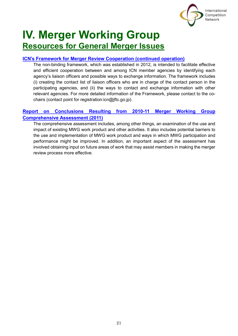

# **IV. Merger Working Group Resources for General Merger Issues**

# **ICN**'**s Framework [for Merger Review Cooperation \(continued operation\)](https://www.internationalcompetitionnetwork.org/portfolio/icn-framework-for-merger-review-cooperation/)**

The non-binding framework, which was established in 2012, is intended to facilitate effective and efficient cooperation between and among ICN member agencies by identifying each agency's liaison officers and possible ways to exchange information. The framework includes (i) creating the contact list of liaison officers who are in charge of the contact person in the participating agencies, and (ii) the ways to contact and exchange information with other relevant agencies. For more detailed information of the Framework, please contact to the cochairs (contact point for registration:icn@jftc.go.jp).

# **[Report on Conclusions Resulting from 2010-11 Merger Working Group](https://www.internationalcompetitionnetwork.org/portfolio/2010-11-merger-working-group-comprehensive-assessment/)  [Comprehensive Assessment \(2011\)](https://www.internationalcompetitionnetwork.org/portfolio/2010-11-merger-working-group-comprehensive-assessment/)**

The comprehensive assessment includes, among other things, an examination of the use and impact of existing MWG work product and other activities. It also includes potential barriers to the use and implementation of MWG work product and ways in which MWG participation and performance might be improved. In addition, an important aspect of the assessment has involved obtaining input on future areas of work that may assist members in making the merger review process more effective.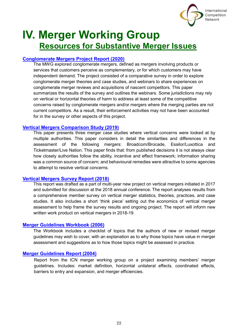

# **IV. Merger Working Group Resources for Substantive Merger Issues**

# **[Conglomerate Mergers Project Report \(2020\)](https://www.internationalcompetitionnetwork.org/portfolio/conglomerate-mergers-project-report/)**

The MWG explored conglomerate mergers, defined as mergers involving products or services that customers perceive as complementary, or for which customers may have independent demand. The project consisted of a comparative survey in order to explore conglomerate merger theories and case studies, and webinars to share experiences on conglomerate merger reviews and acquisitions of nascent competitors. This paper summarizes the results of the survey and outlines the webinars. Some jurisdictions may rely on vertical or horizontal theories of harm to address at least some of the competitive concerns raised by conglomerate mergers and/or mergers where the merging parties are not current competitors. As a result, their enforcement activities may not have been accounted for in the survey or other aspects of this project.

### **[Vertical Mergers Comparison Study \(2019\)](https://www.internationalcompetitionnetwork.org/portfolio/vertical-mergers-comparison-study/)**

This paper presents three merger case studies where vertical concerns were looked at by multiple authorities. This paper considers in detail the similarities and differences in the assessment of the following mergers: Broadcom/Brocade, Essilor/Luxottica and Ticketmaster/Live Nation. This paper finds that: from published decisions it is not always clear how closely authorities follow the ability, incentive and effect framework; information sharing was a common source of concern; and behavioural remedies were attractive to some agencies to attempt to resolve vertical concerns.

#### **[Vertical Mergers Survey Report \(2018\)](https://www.internationalcompetitionnetwork.org/portfolio/vertical-mergers-survey-report/)**

This report was drafted as a part of multi-year new project on vertical mergers initiated in 2017 and submitted for discussion at the 2018 annual conference. The report analyses results from a comprehensive member survey on vertical merger statistics, theories, practices, and case studies. It also includes a short 'think piece' setting out the economics of vertical merger assessment to help frame the survey results and ongoing project. The report will inform new written work product on vertical mergers in 2018-19.

# **[Merger Guidelines Workbook \(2006\)](https://www.internationalcompetitionnetwork.org/portfolio/merger-guidelines-workbook/)**

The Workbook includes a checklist of topics that the authors of new or revised merger guidelines may wish to cover, with an explanation as to why those topics have value in merger assessment and suggestions as to how those topics might be assessed in practice.

# **[Merger Guidelines Report](https://www.internationalcompetitionnetwork.org/portfolio/merger-guidelines-report/) (2004)**

Report from the ICN merger working group on a project examining members' merger guidelines. Includes: market definition, horizontal unilateral effects, coordinated effects, barriers to entry and expansion, and merger efficiencies.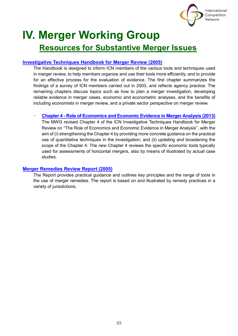

# **IV. Merger Working Group Resources for Substantive Merger Issues**

# **[Investigative Techniques Handbook for Merger Review](https://www.internationalcompetitionnetwork.org/portfolio/handbook-on-investigative-techniques-for-merger-review/) (2005)**

The Handbook is designed to inform ICN members of the various tools and techniques used in merger review, to help members organize and use their tools more efficiently, and to provide for an effective process for the evaluation of evidence. The first chapter summarizes the findings of a survey of ICN members carried out in 2003, and reflects agency practice. The remaining chapters discuss topics such as how to plan a merger investigation, developing reliable evidence in merger cases, economic and econometric analyses, and the benefits of including economists in merger review, and a private sector perspective on merger review.

# ・ **Chapter 4 - [Role of Economics and Economic Evidence in Merger Analysis](https://www.internationalcompetitionnetwork.org/portfolio/role-of-economics-in-merger-analysis/) (2013)**

The MWG revised Chapter 4 of the ICN Investigative Techniques Handbook for Merger Review on "The Role of Economics and Economic Evidence in Merger Analysis", with the aim of (i) strengthening the Chapter 4 by providing more concrete guidance on the practical use of quantitative techniques in the investigation; and (ii) updating and broadening the scope of the Chapter 4. The new Chapter 4 reviews the specific economic tools typically used for assessments of horizontal mergers, also by means of illustrated by actual case studies.

# **[Merger Remedies Review Report \(2005\)](https://www.internationalcompetitionnetwork.org/portfolio/merger-remedies-review-report-2005/)**

The Report provides practical guidance and outlines key principles and the range of tools in the use of merger remedies. The report is based on and illustrated by remedy practices in a variety of jurisdictions.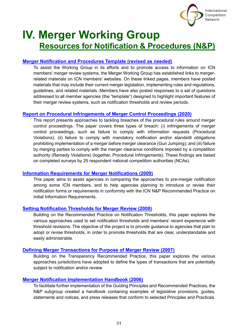

# **IV. Merger Working Group Resources for Notification & Procedures (N&P)**

# **Merger Notification [and Procedures Template \(revised as needed\)](https://www.internationalcompetitionnetwork.org/working-groups/merger/templates/)**

To assist the Working Group in its efforts and to promote access to information on ICN members' merger review systems, the Merger Working Group has established links to mergerrelated materials on ICN members' websites. On these linked pages, members have posted materials that may include their current merger legislation, implementing rules and regulations, guidelines, and related materials. Members have also posted responses to a set of questions addressed to all member agencies (the "template") designed to highlight important features of their merger review systems, such as notification thresholds and review periods.

# **[Report on Procedural Infringements of Merger Control Proceedings](https://www.internationalcompetitionnetwork.org/portfolio/procedural-infringements-in-merger-matters/) (2020)**

This report presents approaches to tackling breaches of the procedural rules around merger control proceedings. The paper covers three types of breach: (i) infringements of merger control proceedings, such as failure to comply with information requests (Procedural Violations); (ii) failure to comply with mandatory notification and/or standstill obligations prohibiting implementation of a merger before merger clearance (Gun Jumping); and (iii) failure by merging parties to comply with the merger clearance conditions imposed by a competition authority (Remedy Violations) (together, Procedural Infringements). These findings are based on completed surveys by 25 respondent national competition authorities (NCAs).

#### **[Information Requirements for Merger Notifications \(2009\)](https://www.internationalcompetitionnetwork.org/portfolio/information-requirements-for-merger-notification/)**

This paper aims to assist agencies in comparing the approaches to pre-merger notification among some ICN members, and to help agencies planning to introduce or revise their notification forms or requirements in conformity with the ICN N&P Recommended Practice on Initial Information Requirements.

#### **[Setting Notification Thresholds for Merger Review \(2008\)](https://www.internationalcompetitionnetwork.org/portfolio/setting-notification-thresholds-for-merger-review/)**

Building on the Recommended Practice on Notification Thresholds, this paper explores the various approaches used to set notification thresholds and members' recent experience with threshold revisions. The objective of the project is to provide guidance to agencies that plan to adopt or revise thresholds, in order to promote thresholds that are clear, understandable and easily administrable.

#### **[Defining Merger Transactions for Purpose of Merger Review \(2007\)](https://www.internationalcompetitionnetwork.org/portfolio/defining-merger-transactions-for-merger-review/)**

Building on the Transparency Recommended Practice, this paper explores the various approaches jurisdictions have adopted to define the types of transactions that are potentially subject to notification and/or review.

#### **[Merger Notification Implementation Handbook \(2006\)](https://www.internationalcompetitionnetwork.org/portfolio/merger-notification-implementation-handbook/)**

To facilitate further implementation of the Guiding Principles and Recommended Practices, the N&P subgroup created a handbook containing examples of legislative provisions, guides, statements and notices, and press releases that conform to selected Principles and Practices.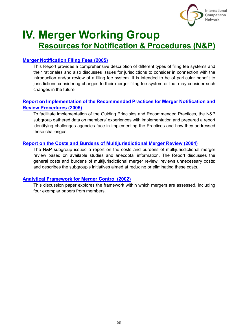

# **IV. Merger Working Group Resources for Notification & Procedures (N&P)**

# **[Merger Notification Filing Fees \(2005\)](https://www.internationalcompetitionnetwork.org/portfolio/merger-notification-filing-fees/)**

This Report provides a comprehensive description of different types of filing fee systems and their rationales and also discusses issues for jurisdictions to consider in connection with the introduction and/or review of a filing fee system. It is intended to be of particular benefit to jurisdictions considering changes to their merger filing fee system or that may consider such changes in the future.

# **[Report on Implementation of the Recommended Practices for Merger Notification and](https://www.internationalcompetitionnetwork.org/portfolio/implementation-of-the-merger-notification-and-review-procedures-rps/)  [Review Procedures \(2005\)](https://www.internationalcompetitionnetwork.org/portfolio/implementation-of-the-merger-notification-and-review-procedures-rps/)**

To facilitate implementation of the Guiding Principles and Recommended Practices, the N&P subgroup gathered data on members' experiences with implementation and prepared a report identifying challenges agencies face in implementing the Practices and how they addressed these challenges.

# **[Report on the Costs and Burdens of Multijurisdictional Merger Review \(2004\)](https://www.internationalcompetitionnetwork.org/portfolio/costs-and-burdens-of-multijurisdictional-merger-review/)**

The N&P subgroup issued a report on the costs and burdens of multijurisdictional merger review based on available studies and anecdotal information. The Report discusses the general costs and burdens of multijurisdictional merger review; reviews unnecessary costs; and describes the subgroup's initiatives aimed at reducing or eliminating these costs.

# **[Analytical Framework for Merger Control \(2002\)](https://www.internationalcompetitionnetwork.org/portfolio/analytical-framework-for-merger-control/)**

This discussion paper explores the framework within which mergers are assessed, including four exemplar papers from members.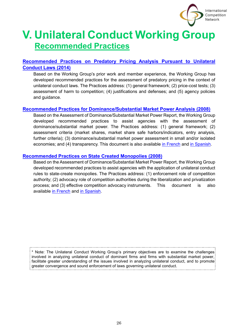

# <span id="page-26-0"></span>**V. Unilateral Conduct Working Group Recommended Practices**

# **[Recommended Practices on Predatory Pricing Analysis Pursuant to Unilateral](https://www.internationalcompetitionnetwork.org/portfolio/predatory-pricing-analysis-uc-laws/) [Conduct Laws \(2014\)](https://www.internationalcompetitionnetwork.org/portfolio/predatory-pricing-analysis-uc-laws/)**

Based on the Working Group's prior work and member experience, the Working Group has developed recommended practices for the assessment of predatory pricing in the context of unilateral conduct laws. The Practices address: (1) general framework; (2) price-cost tests; (3) assessment of harm to competition; (4) justifications and defenses; and (5) agency policies and guidance.

# **[Recommended Practices for Dominance/Substantial Market Power Analysis](https://www.internationalcompetitionnetwork.org/portfolio/dominance-substantial-market-power-analysis-pursuant-to-unilateral-conduct-laws/) (2008)**

Based on the Assessment of Dominance/Substantial Market Power Report, the Working Group developed recommended practices to assist agencies with the assessment of dominance/substantial market power. The Practices address: (1) general framework; (2) assessment criteria (market shares, market share safe harbors/indicators, entry analysis, further criteria); (3) dominance/substantial market power assessment in small and/or isolated economies; and (4) transparency. This document is also available [in French](https://www.internationalcompetitionnetwork.org/wp-content/uploads/2018/05/UCWG_DomRPsFR.pdf) and [in Spanish.](https://www.internationalcompetitionnetwork.org/wp-content/uploads/2018/05/UCWG_DomRPsES.pdf)

# **[Recommended Practices on State Created Monopolies \(2008\)](https://www.internationalcompetitionnetwork.org/portfolio/state-created-monopolies-analysis-pursuant-to-unilateral-conduct-laws/)**

Based on the Assessment of Dominance/Substantial Market Power Report, the Working Group developed recommended practices to assist agencies with the application of unilateral conduct rules to state-create monopolies. The Practices address: (1) enforcement role of competition authority; (2) advocacy role of competition authorities during the liberalization and privatization process; and (3) effective competition advocacy instruments. This document is also available [in French](https://www.internationalcompetitionnetwork.org/wp-content/uploads/2018/05/UCWG_StateRPsFR.pdf) and [in Spanish.](https://www.internationalcompetitionnetwork.org/wp-content/uploads/2018/05/UCWG_StateRPsES.pdf)

\* Note: The Unilateral Conduct Working Group's primary objectives are to examine the challenges involved in analyzing unilateral conduct of dominant firms and firms with substantial market power, facilitate greater understanding of the issues involved in analyzing unilateral conduct, and to promote: greater convergence and sound enforcement of laws governing unilateral conduct.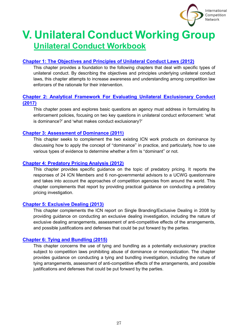

# **V. Unilateral Conduct Working Group Unilateral Conduct Workbook**

# **[Chapter 1: The Objectives and Principles of Unilateral Conduct Laws \(2012\)](https://www.internationalcompetitionnetwork.org/portfolio/uc-workbook-objectives-principles-of-unilateral-conduct-laws/)**

This chapter provides a foundation to the following chapters that deal with specific types of unilateral conduct. By describing the objectives and principles underlying unilateral conduct laws, this chapter attempts to increase awareness and understanding among competition law enforcers of the rationale for their intervention.

# **Chapter 2: Analytical [Framework For Evaluating Unilateral Exclusionary Conduct](https://www.internationalcompetitionnetwork.org/portfolio/uc-workbook-analytical-framework-for-evaluating-unilateral-exclusionary-conduct/)  [\(2017\)](https://www.internationalcompetitionnetwork.org/portfolio/uc-workbook-analytical-framework-for-evaluating-unilateral-exclusionary-conduct/)**

This chapter poses and explores basic questions an agency must address in formulating its enforcement policies, focusing on two key questions in unilateral conduct enforcement: 'what is dominance?' and 'what makes conduct exclusionary?'

### **[Chapter 3: Assessment of Dominance \(2011\)](https://www.internationalcompetitionnetwork.org/portfolio/uc-workbook-assessment-of-dominance/)**

This chapter seeks to complement the two existing ICN work products on dominance by discussing how to apply the concept of "dominance" in practice, and particularly, how to use various types of evidence to determine whether a firm is "dominant" or not.

### **[Chapter 4: Predatory Pricing Analysis \(2012\)](https://www.internationalcompetitionnetwork.org/portfolio/uc-workbook-predatory-pricing/)**

This chapter provides specific guidance on the topic of predatory pricing. It reports the responses of 24 ICN Members and 6 non-governmental advisors to a UCWG questionnaire and takes into account the approaches of competition agencies from around the world. This chapter complements that report by providing practical guidance on conducting a predatory pricing investigation.

# **[Chapter 5: Exclusive Dealing \(2013\)](https://www.internationalcompetitionnetwork.org/portfolio/uc-workbook-exclusive-dealing/)**

This chapter complements the ICN report on Single Branding/Exclusive Dealing in 2008 by providing guidance on conducting an exclusive dealing investigation, including the nature of exclusive dealing arrangements, assessment of anti-competitive effects of the arrangements, and possible justifications and defenses that could be put forward by the parties.

# **[Chapter 6: Tying and Bundling \(2015\)](https://www.internationalcompetitionnetwork.org/portfolio/uc-workbook-tying-and-bundling/)**

This chapter concerns the use of tying and bundling as a potentially exclusionary practice subject to competition laws prohibiting abuse of dominance or monopolization. The chapter provides guidance on conducting a tying and bundling investigation, including the nature of tying arrangements, assessment of anti-competitive effects of the arrangements, and possible justifications and defenses that could be put forward by the parties.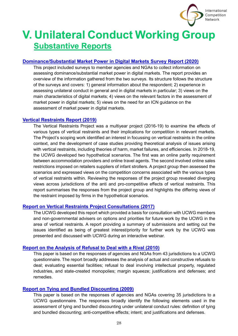

# **V. Unilateral Conduct Working Group Substantive Reports**

### **[Dominance/Substantial Market Power in Digital Markets Survey Report \(2020\)](https://www.internationalcompetitionnetwork.org/portfolio/dominance-substantial-market-power-in-digital-markets-survey-report/)**

This project included surveys to member agencies and NGAs to collect information on assessing dominance/substantial market power in digital markets. The report provides an overview of the information gathered from the two surveys. Its structure follows the structure of the surveys and covers: 1) general information about the respondent; 2) experience in assessing unilateral conduct in general and in digital markets in particular; 3) views on the main characteristics of digital markets; 4) views on the relevant factors in the assessment of market power in digital markets; 5) views on the need for an ICN guidance on the assessment of market power in digital markets.

#### **[Vertical Restraints Report \(2019\)](https://www.internationalcompetitionnetwork.org/portfolio/vertical-restraints-project/)**

The Vertical Restraints Project was a multiyear project (2016-19) to examine the effects of various types of vertical restraints and their implications for competition in relevant markets. The Project's scoping work identified an interest in focussing on vertical restraints in the online context, and the development of case studies providing theoretical analysis of issues arising with vertical restraints, including theories of harm, market failures, and efficiencies. In 2018-19, the UCWG developed two hypothetical scenarios. The first was an online parity requirement between accommodation providers and online travel agents. The second involved online sales restrictions imposed on retailers suppliers of infant strollers. A project group then assessed the scenarios and expressed views on the competition concerns associated with the various types of vertical restraints within. Reviewing the responses of the project group revealed diverging views across jurisdictions of the anti and pro-competitive effects of vertical restraints. This report summarises the responses from the project group and highlights the differing views of the restraint imposed by firms in the hypothetical scenarios.

#### **Report on Vertical [Restraints Project Consultations \(2017\)](https://www.internationalcompetitionnetwork.org/portfolio/ucwg-vertical-restraints-2017/)**

The UCWG developed this report which provided a basis for consultation with UCWG members and non-governmental advisers on options and priorities for future work by the UCWG in the area of vertical restraints. A report providing a summary of submissions and setting out the issues identified as being of greatest interest/priority for further work by the UCWG was presented and discussed with UCWG during an interactive webinar.

#### **Report on the [Analysis of Refusal to Deal with a Rival \(2010\)](https://www.internationalcompetitionnetwork.org/portfolio/report-refusal-to-deal-with-a-rival-uc-laws/)**

This paper is based on the responses of agencies and NGAs from 43 jurisdictions to a UCWG questionnaire. The report broadly addresses the analysis of actual and constructive refusals to deal; evaluating essential facilities; refusal to deal involving intellectual property, regulated industries, and state-created monopolies; margin squeeze; justifications and defenses; and remedies.

#### **[Report on Tying and Bundled Discounting \(2009\)](https://www.internationalcompetitionnetwork.org/portfolio/report-on-tying-and-bundled-discounting/)**

This paper is based on the responses of agencies and NGAs covering 35 jurisdictions to a UCWG questionnaire. The responses broadly identify the following elements used in the assessment of tying and bundled discounting under unilateral conduct rules: definition of tying and bundled discounting; anti-competitive effects; intent; and justifications and defenses.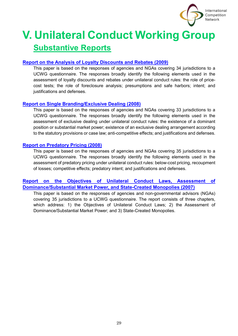

# **V. Unilateral Conduct Working Group Substantive Reports**

# **[Report on the Analysis of Loyalty Discounts and Rebates \(2009\)](https://www.internationalcompetitionnetwork.org/portfolio/report-on-loyalty-discounts-rebates/)**

This paper is based on the responses of agencies and NGAs covering 34 jurisdictions to a UCWG questionnaire. The responses broadly identify the following elements used in the assessment of loyalty discounts and rebates under unilateral conduct rules: the role of pricecost tests; the role of foreclosure analysis; presumptions and safe harbors; intent; and justifications and defenses.

### **[Report on Single Branding/Exclusive Dealing \(2008\)](https://www.internationalcompetitionnetwork.org/portfolio/report-on-single-branding-exclusive-dealing/)**

This paper is based on the responses of agencies and NGAs covering 33 jurisdictions to a UCWG questionnaire. The responses broadly identify the following elements used in the assessment of exclusive dealing under unilateral conduct rules: the existence of a dominant position or substantial market power; existence of an exclusive dealing arrangement according to the statutory provisions or case law; anti-competitive effects; and justifications and defenses.

### **[Report on Predatory Pricing \(2008\)](https://www.internationalcompetitionnetwork.org/portfolio/report-on-predatory-pricing/)**

This paper is based on the responses of agencies and NGAs covering 35 jurisdictions to a UCWG questionnaire. The responses broadly identify the following elements used in the assessment of predatory pricing under unilateral conduct rules: below-cost pricing, recoupment of losses; competitive effects; predatory intent; and justifications and defenses.

# **[Report on the Objectives of Unilateral Conduct Laws, Assessment of](https://www.internationalcompetitionnetwork.org/portfolio/report-on-the-objectives-of-unilateral-conduct-laws/)  [Dominance/Substantial Market Power, and State-Created Monopolies \(2007\)](https://www.internationalcompetitionnetwork.org/portfolio/report-on-the-objectives-of-unilateral-conduct-laws/)**

This paper is based on the responses of agencies and non-governmental advisors (NGAs) covering 35 jurisdictions to a UCWG questionnaire. The report consists of three chapters, which address: 1) the Objectives of Unilateral Conduct Laws; 2) the Assessment of Dominance/Substantial Market Power; and 3) State-Created Monopolies.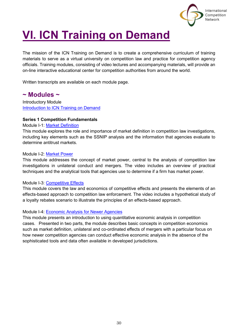

<span id="page-30-0"></span>The mission of the ICN Training on Demand is to create a comprehensive curriculum of training materials to serve as a virtual university on competition law and practice for competition agency officials. Training modules, consisting of video lectures and accompanying materials, will provide an on-line interactive educational center for competition authorities from around the world.

Written transcripts are available on each module page.

# **~ Modules ~**

Introductory Module [Introduction to ICN Training on Demand](https://www.internationalcompetitionnetwork.org/training/intro-to-icn-training-on-demand/)

#### **Series 1 Competition Fundamentals**

#### Module I-1: [Market Definition](https://www.internationalcompetitionnetwork.org/training/market-definition/)

This module explores the role and importance of market definition in competition law investigations, including key elements such as the SSNIP analysis and the information that agencies evaluate to determine antitrust markets.

#### Module I-2: [Market Power](https://www.internationalcompetitionnetwork.org/training/market-power/)

This module addresses the concept of market power, central to the analysis of competition law investigations in unilateral conduct and mergers. The video includes an overview of practical techniques and the analytical tools that agencies use to determine if a firm has market power.

#### Module I-3: [Competitive Effects](https://www.internationalcompetitionnetwork.org/training/competitive-effects/)

This module covers the law and economics of competitive effects and presents the elements of an effects-based approach to competition law enforcement. The video includes a hypothetical study of a loyalty rebates scenario to illustrate the principles of an effects-based approach.

#### Module I-4: [Economic Analysis for Newer Agencies](https://www.internationalcompetitionnetwork.org/training/economic-analysis-for-newer-agencies/)

This module presents an introduction to using quantitative economic analysis in competition cases. Presented in two parts, the module describes basic concepts in competition economics such as market definition, unilateral and co-ordinated effects of mergers with a particular focus on how newer competition agencies can conduct effective economic analysis in the absence of the sophisticated tools and data often available in developed jurisdictions.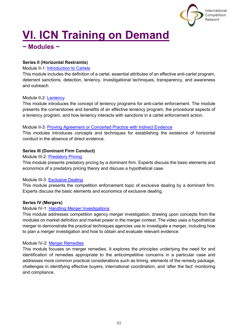

# **~ Modules ~**

# **Series II (Horizontal Restraints)**

Module II-1: [Introduction to Cartels](https://www.internationalcompetitionnetwork.org/training/introduction-to-cartels/)

This module includes the definition of a cartel, essential attributes of an effective anti-cartel program, deterrent sanctions, detection, leniency, investigational techniques, transparency, and awareness and outreach.

# Module II-2: **Leniency**

This module introduces the concept of leniency programs for anti-cartel enforcement. The module presents the cornerstones and benefits of an effective leniency program, the procedural aspects of a leniency program, and how leniency interacts with sanctions in a cartel enforcement action.

### Module II-3: [Proving Agreement or Concerted Practice with Indirect Evidence](https://www.internationalcompetitionnetwork.org/training/proving-agreement-or-concerted-practice-with-indirect-evidence/)

This modules introduces concepts and techniques for establishing the existence of horizontal conduct in the absence of direct evidence.

# **Series III (Dominant Firm Conduct)**

### Module III-2: [Predatory Pricing](https://www.internationalcompetitionnetwork.org/training/predatory-pricing/)

This module presents predatory pricing by a dominant firm. Experts discuss the basic elements and economics of a predatory pricing theory and discuss a hypothetical case.

# Module III-3: [Exclusive Dealing](https://www.internationalcompetitionnetwork.org/training/exclusive-dealing/)

This module presents the competition enforcement topic of exclusive dealing by a dominant firm. Experts discuss the basic elements and economics of exclusive dealing.

# **Series IV (Mergers)**

# Module IV-1: [Handling Merger Investigations](https://www.internationalcompetitionnetwork.org/training/handling-merger-investigations/)

This module addresses competition agency merger investigation, drawing upon concepts from the modules on market definition and market power in the merger context. The video uses a hypothetical merger to demonstrate the practical techniques agencies use to investigate a merger, including how to plan a merger investigation and how to obtain and evaluate relevant evidence.

# Module IV-2: [Merger Remedies](https://www.internationalcompetitionnetwork.org/training/merger-remedies/)

This module focuses on merger remedies. It explores the principles underlying the need for and identification of remedies appropriate to the anticompetitive concerns in a particular case and addresses more common practical considerations such as timing, elements of the remedy package, challenges in identifying effective buyers, international coordination, and 'after the fact' monitoring and compliance.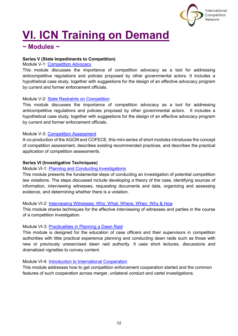

# **~ Modules ~**

### **Series V (State Impediments to Competition)**

#### Module V-1: [Competition Advocacy](https://www.internationalcompetitionnetwork.org/training/competition-advocacy/)

This module discusses the importance of competition advocacy as a tool for addressing anticompetitive regulations and policies proposed by other governmental actors. It includes a hypothetical case study, together with suggestions for the design of an effective advocacy program by current and former enforcement officials.

#### Module V-2: [State Restraints on Competition](https://www.internationalcompetitionnetwork.org/training/state-restraints/)

This module discusses the importance of competition advocacy as a tool for addressing anticompetitive regulations and policies proposed by other governmental actors. It includes a hypothetical case study, together with suggestions for the design of an effective advocacy program by current and former enforcement officials.

### Module V-3: [Competition Assessment](https://www.internationalcompetitionnetwork.org/training/competition-assessment/)

A co-production of the AGCM and COFECE, this mini-series of short modules introduces the concept of competition assessment, describes existing recommended practices, and describes the practical application of competition assessments.

### **Series VI (Investigative Techniques)**

Module VI-1: [Planning and Conducting Investigations](https://www.internationalcompetitionnetwork.org/training/planning-and-conducting-investigations/)

This module presents the fundamental steps of conducting an investigation of potential competition law violations. The steps discussed include developing a theory of the case, identifying sources of information, interviewing witnesses, requesting documents and data, organizing and assessing evidence, and determining whether there is a violation.

#### Module VI-2: [Interviewing Witnesses: Who, What, Where, When, Why & How](https://www.internationalcompetitionnetwork.org/training/interviewing-witnesses/)

This module shares techniques for the effective interviewing of witnesses and parties in the course of a competition investigation.

#### Module VI-3: [Practicalities in Planning a Dawn Raid](https://www.internationalcompetitionnetwork.org/training/dawn-raids/)

This module is designed for the education of case officers and their supervisors in competition authorities with little practical experience planning and conducting dawn raids such as those with new or previously unexercised dawn raid authority. It uses short lectures, discussions and dramatized vignettes to convey content.

Module VI-4: [Introduction to International Cooperation](https://www.internationalcompetitionnetwork.org/training/intro-cooperation/)

This module addresses how to get competition enforcement cooperation started and the common features of such cooperation across merger, unilateral conduct and cartel investigations.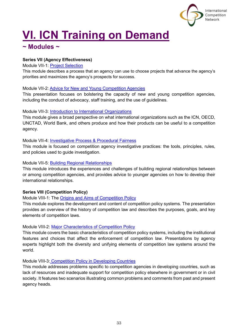

# **~ Modules ~**

### **Series VII (Agency Effectiveness)**

#### Module VII-1: [Project Selection](https://www.internationalcompetitionnetwork.org/training/project-selection/)

This module describes a process that an agency can use to choose projects that advance the agency's priorities and maximizes the agency's prospects for success.

#### Module VII-2[: Advice for New and Young Competition Agencies](https://www.internationalcompetitionnetwork.org/training/advice-for-new-and-young-competition-agencies/)

This presentation focuses on bolstering the capacity of new and young competition agencies, including the conduct of advocacy, staff training, and the use of guidelines.

#### Module VII-3: [Introduction to International Organizations](https://www.internationalcompetitionnetwork.org/training/introduction-to-international-organizations/)

This module gives a broad perspective on what international organizations such as the ICN, OECD, UNCTAD, World Bank, and others produce and how their products can be useful to a competition agency.

#### Module VII-4: [Investigative Process & Procedural Fairness](https://www.internationalcompetitionnetwork.org/training/investigative-process)

This module is focused on competition agency investigative practices: the tools, principles, rules, and policies used to guide investigation.

#### Module VII-5: [Building Regional Relationships](https://www.internationalcompetitionnetwork.org/training/building-regional-relationships/)

This module introduces the experiences and challenges of building regional relationships between or among competition agencies, and provides advice to younger agencies on how to develop their international relationships.

#### **Series VIII (Competition Policy)**

Module VIII-1: The [Origins and Aims of Competition Policy](https://www.internationalcompetitionnetwork.org/training/origins-and-aims-of-competition-policy/)

This module explores the development and content of competition policy systems. The presentation provides an overview of the history of competition law and describes the purposes, goals, and key elements of competition laws.

#### Module VIII-2: [Major Characteristics of Competition Policy](https://www.internationalcompetitionnetwork.org/training/characteristics-of-competition-policy/)

This module covers the basic characteristics of competition policy systems, including the institutional features and choices that affect the enforcement of competition law. Presentations by agency experts highlight both the diversity and unifying elements of competition law systems around the world.

Module VIII-3: [Competition Policy in Developing Countries](https://www.internationalcompetitionnetwork.org/training/developing-countries-and-competition/)

This module addresses problems specific to competition agencies in developing countries, such as lack of resources and inadequate support for competition policy elsewhere in government or in civil society. It features two scenarios illustrating common problems and comments from past and present agency heads.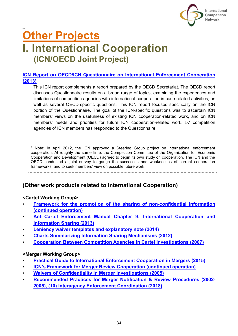

# <span id="page-34-1"></span><span id="page-34-0"></span>**Other Projects I. International Cooperation (ICN/OECD Joint Project)**

# **[ICN Report on OECD/ICN Questionnaire on International Enforcement Cooperation](https://www.internationalcompetitionnetwork.org/working-groups/icn-operations/cooperation/)  [\(2013\)](https://www.internationalcompetitionnetwork.org/working-groups/icn-operations/cooperation/)**

This ICN report complements a report prepared by the OECD Secretariat. The OECD report discusses Questionnaire results on a broad range of topics, examining the experiences and limitations of competition agencies with international cooperation in case-related activities, as well as several OECD-specific questions. This ICN report focuses specifically on the ICN portion of the Questionnaire. The goal of the ICN-specific questions was to ascertain ICN members' views on the usefulness of existing ICN cooperation-related work, and on ICN members' needs and priorities for future ICN cooperation-related work. 57 competition agencies of ICN members has responded to the Questionnaire.

\* Note: In April 2012, the ICN approved a Steering Group project on international enforcement cooperation. At roughly the same time, the Competition Committee of the Organization for Economic Cooperation and Development (OECD) agreed to begin its own study on cooperation. The ICN and the OECD conducted a joint survey to gauge the successes and weaknesses of current cooperation frameworks, and to seek members' view on possible future work.

# **(Other work products related to International Cooperation)**

# **<Cartel Working Group>**

- **[Framework for the promotion of the sharing of non-confidential information](https://www.internationalcompetitionnetwork.org/portfolio/non-confidential-information-sharing/)  [\(continued operation\)](https://www.internationalcompetitionnetwork.org/portfolio/non-confidential-information-sharing/)**
- **[Anti-Cartel Enforcement Manual Chapter 9: International Cooperation and](https://www.internationalcompetitionnetwork.org/portfolio/international-cooperation/)  [Information Sharing \(2013\)](https://www.internationalcompetitionnetwork.org/portfolio/international-cooperation/)**
- **[Leniency waiver templates and explanatory note \(2014\)](https://www.internationalcompetitionnetwork.org/portfolio/leniency-waiver-template/)**
- **[Charts Summarizing Information Sharing Mechanisms \(2012\)](https://www.internationalcompetitionnetwork.org/working-groups/cartel/information-sharing/)**
- **[Cooperation Between Competition Agencies in Cartel Investigations \(2007\)](https://www.internationalcompetitionnetwork.org/portfolio/cartel-investigation-cooperation/)**

# **<Merger Working Group>**

- **[Practical Guide to International Enforcement Cooperation in Mergers \(2015\)](https://www.internationalcompetitionnetwork.org/portfolio/merger-cooperation-guide/)**
- **[ICN's Framework for Merger Review Cooperation \(continued operation\)](https://www.internationalcompetitionnetwork.org/portfolio/icn-framework-for-merger-review-cooperation/)**
- **Waivers of [Confidentiality in Merger Investigations](https://www.internationalcompetitionnetwork.org/portfolio/model-confidentiality-waiver-for-mergers/) (2005)**
- <span id="page-34-2"></span>• **[Recommended Practices for Merger Notification & Review Procedures \(2002-](https://www.internationalcompetitionnetwork.org/portfolio/merger-np-recommended-practices/) 2005)**, **[\(10\) Interagency Enforcement Coordination](https://www.internationalcompetitionnetwork.org/portfolio/merger-np-recommended-practices/) (2018)**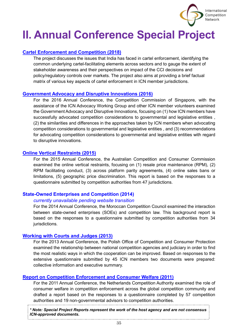

# **II. Annual Conference Special Project**

# **[Cartel Enforcement and Competition \(2018\)](https://www.internationalcompetitionnetwork.org/wp-content/uploads/2019/11/SP_Cartel2018.pdf)**

The project discusses the issues that India has faced in cartel enforcement, identifying the common underlying cartel-facilitating elements across sectors and to gauge the extent of stakeholder awareness and their perspectives on impact of the CCI decisions and policy/regulatory controls over markets. The project also aims at providing a brief factual matrix of various key aspects of cartel enforcement in ICN member jurisdictions.

#### **[Government Advocacy and Disruptive Innovations \(2016\)](https://www.internationalcompetitionnetwork.org/wp-content/uploads/2019/11/SP_DisruptiveInnovation2016.pdf)**

For the 2016 Annual Conference, the Competition Commission of Singapore, with the assistance of the ICN Advocacy Working Group and other ICN member volunteers examined the Government Advocacy and Disruptive Innovations, focusing on (1) how ICN members have successfully advocated competition considerations to governmental and legislative entities , (2) the similarities and differences in the approaches taken by ICN members when advocating competition considerations to governmental and legislative entities , and (3) recommendations for advocating competition considerations to governmental and legislative entities with regard to disruptive innovations.

#### **[Online Vertical Restraints](https://www.internationalcompetitionnetwork.org/wp-content/uploads/2019/11/SP_OnlineVR2015.pdf) (2015)**

For the 2015 Annual Conference, the Australian Competition and Consumer Commission examined the online vertical restraints, focusing on (1) resale price maintenance (RPM), (2) RPM facilitating conduct, (3) across platform parity agreements, (4) online sales bans or limitations, (5) geographic price discrimination. This report is based on the responses to a questionnaire submitted by competition authorities from 47 jurisdictions.

#### **State-Owned Enterprises and Competition (2014)**

#### *currently unavailable pending website transition*

For the 2014 Annual Conference, the Moroccan Competition Council examined the interaction between state-owned enterprises (SOEs) and competition law. This background report is based on the responses to a questionnaire submitted by competition authorities from 34 jurisdictions.

#### **Working with Courts and [Judges \(2013\)](https://www.internationalcompetitionnetwork.org/wp-content/uploads/2019/11/SP_Courts2013.pdf)**

For the 2013 Annual Conference, the Polish Office of Competition and Consumer Protection examined the relationship between national competition agencies and judiciary in order to find the most realistic ways in which the cooperation can be improved. Based on responses to the extensive questionnaire submitted by 45 ICN members two documents were prepared: collective information and executive summary.

# **[Report on Competition Enforcement and Consumer Welfare \(2011\)](https://www.internationalcompetitionnetwork.org/wp-content/uploads/2019/11/SP_CWelfare2011.pdf)**

For the 2011 Annual Conference, the Netherlands Competition Authority examined the role of consumer welfare in competition enforcement across the global competition community and drafted a report based on the responses to a questionnaire completed by 57 competition authorities and 19 non-governmental advisors to competition authorities.

*\* Note: Special Project Reports represent the work of the host agency and are not consensus ICN-approved documents.*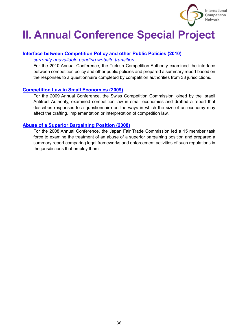

# **II. Annual Conference Special Project**

# **Interface between Competition Policy and other Public Policies (2010)**

#### *currently unavailable pending website transition*

For the 2010 Annual Conference, the Turkish Competition Authority examined the interface between competition policy and other public policies and prepared a summary report based on the responses to a questionnaire completed by competition authorities from 33 jurisdictions.

# **[Competition Law in Small Economies \(2009\)](https://www.internationalcompetitionnetwork.org/wp-content/uploads/2019/11/SP_SmallEcons2009.pdf)**

For the 2009 Annual Conference, the Swiss Competition Commission joined by the Israeli Antitrust Authority, examined competition law in small economies and drafted a report that describes responses to a questionnaire on the ways in which the size of an economy may affect the crafting, implementation or interpretation of competition law.

### **[Abuse of a Superior Bargaining Position \(2008\)](https://www.internationalcompetitionnetwork.org/wp-content/uploads/2019/11/SP_ASBP2008.pdf)**

For the 2008 Annual Conference, the Japan Fair Trade Commission led a 15 member task force to examine the treatment of an abuse of a superior bargaining position and prepared a summary report comparing legal frameworks and enforcement activities of such regulations in the jurisdictions that employ them.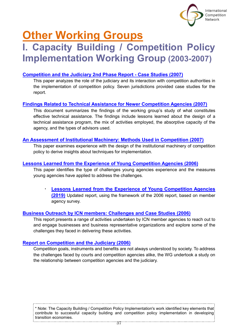

# <span id="page-37-1"></span><span id="page-37-0"></span>**Other Working Groups**

# **I. Capacity Building / Competition Policy Implementation Working Group (2003-2007)**

# **[Competition and the Judiciary](https://www.internationalcompetitionnetwork.org/portfolio/competition-judiciary-case-studies/) 2nd Phase Report - Case Studies (2007)**

This paper analyzes the role of the judiciary and its interaction with competition authorities in the implementation of competition policy. Seven jurisdictions provided case studies for the report.

# **[Findings Related to Technical Assistance for Newer Competition Agencies \(2007\)](https://www.internationalcompetitionnetwork.org/portfolio/findings-related-to-technical-assistance/)**

This document summarizes the findings of the working group's study of what constitutes effective technical assistance. The findings include lessons learned about the design of a technical assistance program, the mix of activities employed, the absorptive capacity of the agency, and the types of advisors used.

### **[An Assessment of Institutional Machinery: Methods Used in Competition \(2007\)](https://www.internationalcompetitionnetwork.org/portfolio/institutional-machinery-methods-used-in-competition/)**

This paper examines experience with the design of the institutional machinery of competition policy to derive insights about techniques for implementation.

# **[Lessons Learned from the Experience of Young Competition Agencies \(2006\)](https://www.internationalcompetitionnetwork.org/portfolio/lessons-learned-from-the-experience-of-young-competition-agencies/)**

This paper identifies the type of challenges young agencies experience and the measures young agencies have applied to address the challenges.

**Lessons Learned from the Experience of Young Competition Agencies [\(2019\)](https://www.internationalcompetitionnetwork.org/portfolio/lessons-to-be-learnt-from-the-experience-of-young-competition-agencies-2019/)** Updated report, using the framework of the 2006 report, based on member agency survey.

# **[Business Outreach by ICN members: Challenges and Case Studies \(2006\)](https://www.internationalcompetitionnetwork.org/portfolio/business-outreach-challenges-and-case-studies/)**

This report presents a range of activities undertaken by ICN member agencies to reach out to and engage businesses and business representative organizations and explore some of the challenges they faced in delivering these activities.

# **[Report on Competition and the Judiciary \(2006\)](https://www.internationalcompetitionnetwork.org/portfolio/competition-the-judiciary/)**

Competition goals, instruments and benefits are not always understood by society. To address the challenges faced by courts and competition agencies alike, the WG undertook a study on the relationship between competition agencies and the judiciary.

\* Note: The Capacity Building / Competition Policy Implementation's work identified key elements that contribute to successful capacity building and competition policy implementation in developing transition economies.37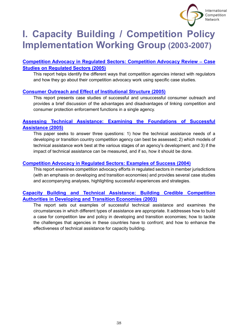

# **I. Capacity Building / Competition Policy Implementation Working Group (2003-2007)**

# **[Competition Advocacy in Regulated Sectors: Competition Advocacy Review](https://www.internationalcompetitionnetwork.org/portfolio/advocacy-regulated-sectors-2005-case-studies/)** – **Case [Studies on Regulated Sectors \(2005\)](https://www.internationalcompetitionnetwork.org/portfolio/advocacy-regulated-sectors-2005-case-studies/)**

This report helps identify the different ways that competition agencies interact with regulators and how they go about their competition advocacy work using specific case studies.

# **[Consumer Outreach and Effect of Institutional Structure \(2005\)](https://www.internationalcompetitionnetwork.org/portfolio/consumer-outreach/)**

This report presents case studies of successful and unsuccessful consumer outreach and provides a brief discussion of the advantages and disadvantages of linking competition and consumer protection enforcement functions in a single agency.

# **[Assessing Technical Assistance: Examining the Foundations of Successful](https://www.internationalcompetitionnetwork.org/portfolio/assessing-technical-assistance/)  [Assistance \(2005\)](https://www.internationalcompetitionnetwork.org/portfolio/assessing-technical-assistance/)**

This paper seeks to answer three questions: 1) how the technical assistance needs of a developing or transition country competition agency can best be assessed; 2) which models of technical assistance work best at the various stages of an agency's development; and 3) if the impact of technical assistance can be measured, and if so, how it should be done.

# **[Competition Advocacy in Regulated Sectors: Examples of Success \(2004\)](https://www.internationalcompetitionnetwork.org/portfolio/advocacy-in-regulated-sectors-2004/)**

This report examines competition advocacy efforts in regulated sectors in member jurisdictions (with an emphasis on developing and transition economies) and provides several case studies and accompanying analyses, highlighting successful experiences and strategies.

# **[Capacity Building and Technical Assistance: Building Credible Competition](https://www.internationalcompetitionnetwork.org/portfolio/capacity-building-and-technical-assistance-2003-report/)  [Authorities in Developing and Transition Economies \(2003\)](https://www.internationalcompetitionnetwork.org/portfolio/capacity-building-and-technical-assistance-2003-report/)**

The report sets out examples of successful technical assistance and examines the circumstances in which different types of assistance are appropriate. It addresses how to build a case for competition law and policy in developing and transition economies; how to tackle the challenges that agencies in these countries have to confront; and how to enhance the effectiveness of technical assistance for capacity building.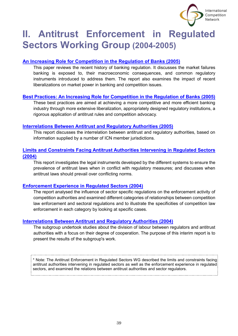

# <span id="page-39-0"></span>**II. Antitrust Enforcement in Regulated Sectors Working Group (2004-2005)**

# **[An Increasing Role for Competition in the Regulation of Banks \(2005\)](https://www.internationalcompetitionnetwork.org/portfolio/role-for-competition-in-the-regulation-of-banks/)**

This paper reviews the recent history of banking regulation. It discusses the market failures banking is exposed to, their macroeconomic consequences, and common regulatory instruments introduced to address them. The report also examines the impact of recent liberalizations on market power in banking and competition issues.

# **[Best Practices: An Increasing Role for Competition in the Regulation of Banks \(2005\)](https://www.internationalcompetitionnetwork.org/portfolio/role-for-competition-in-the-regulation-of-banks-2/)**

These best practices are aimed at achieving a more competitive and more efficient banking industry through more extensive liberalization, appropriately designed regulatory institutions, a rigorous application of antitrust rules and competition advocacy.

### **[Interrelations Between Antitrust and Regulatory Authorities \(2005\)](https://www.internationalcompetitionnetwork.org/portfolio/interrelations-between-antitrust-and-regulatory-authorities-2/)**

This report discusses the interrelation between antitrust and regulatory authorities, based on information supplied by a number of ICN member jurisdictions.

# **[Limits and Constraints Facing Antitrust Authorities Intervening in Regulated Sectors](https://www.internationalcompetitionnetwork.org/portfolio/limits-facing-antitrust-in-regulated-sectors/)  [\(2004\)](https://www.internationalcompetitionnetwork.org/portfolio/limits-facing-antitrust-in-regulated-sectors/)**

This report investigates the legal instruments developed by the different systems to ensure the prevalence of antitrust laws when in conflict with regulatory measures; and discusses when antitrust laws should prevail over conflicting norms.

# **[Enforcement Experience in Regulated Sectors \(2004\)](https://www.internationalcompetitionnetwork.org/portfolio/enforcement-experience-in-regulated-sectors/)**

The report analysed the influence of sector specific regulations on the enforcement activity of competition authorities and examined different categories of relationships between competition law enforcement and sectoral regulations and to illustrate the specificities of competition law enforcement in each category by looking at specific cases.

# **[Interrelations Between Antitrust and Regulatory Authorities \(2004\)](https://www.internationalcompetitionnetwork.org/portfolio/interrelations-between-antitrust-and-regulatory-authorities/)**

The subgroup undertook studies about the division of labour between regulators and antitrust authorities with a focus on their degree of cooperation. The purpose of this interim report is to present the results of the subgroup's work.

\* Note: The Antitrust Enforcement in Regulated Sectors WG described the limits and constraints facing antitrust authorities intervening in regulated sectors as well as the enforcement experience in regulated sectors, and examined the relations between antitrust authorities and sector regulators.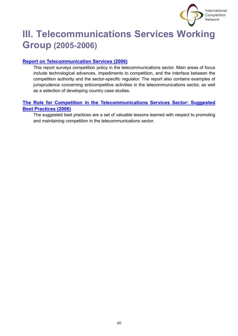

# <span id="page-40-0"></span>**III. Telecommunications Services Working Group (2005-2006)**

# **[Report on Telecommunication Services \(2006\)](https://www.internationalcompetitionnetwork.org/portfolio/report-on-telecommunication-services/)**

This report surveys competition policy in the telecommunications sector. Main areas of focus include technological advances, impediments to competition, and the interface between the competition authority and the sector-specific regulator. The report also contains examples of jurisprudence concerning anticompetitive activities in the telecommunications sector, as well as a selection of developing country case studies.

# **[The Role for Competition in the Telecommunications Services Sector: Suggested](https://www.internationalcompetitionnetwork.org/portfolio/role-for-competition-in-telecommunications/)  [Best Practices \(2006\)](https://www.internationalcompetitionnetwork.org/portfolio/role-for-competition-in-telecommunications/)**

The suggested best practices are a set of valuable lessons learned with respect to promoting and maintaining competition in the telecommunications sector.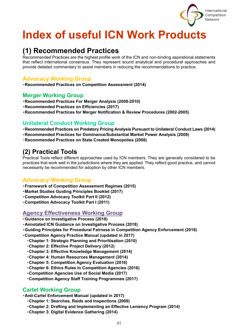

# **Index of useful ICN Work Products**

# **(1) Recommended Practices**

Recommended Practices are the highest profile work of the ICN and non-binding aspirational statements that reflect international consensus. They represent sound analytical and procedural approaches and provide detailed commentary to assist members in reducing the recommendations to practice.

# **Advocacy Working Group**

・**Recommended Practices on Competition Assessment (2014)**

# **Merger Working Group**

- ・**Recommended Practices For Merger Analysis (2008-2010)**
- ・**Recommended Practices on Efficiencies (2017)**
- ・**Recommended Practices for Merger Notification & Review Procedures (2002-2005)**

# **Unilateral Conduct Working Group**

- ・**Recommended Practices on Predatory Pricing Analysis Pursuant to Unilateral Conduct Laws (2014)**
- ・**Recommended Practices for Dominance/Substantial Market Power Analysis (2008)**
- ・**Recommended Practices on State Created Monopolies (2008)**

# **(2) Practical Tools**

Practical Tools reflect different approaches used by ICN members. They are generally considered to be practices that work well in the jurisdictions where they are applied. They reflect good practice, and cannot necessarily be recommended for adoption by other ICN members.

# **Advocacy Working Group**

- ・**Framework of Competition Assessment Regimes (2015)**
- ・**Market Studies Guiding Principles Booklet (2017)**
- ・**Competition Advocacy Toolkit Part II (2012)**
- ・**Competition Advocacy Toolkit Part I (2011)**

# **Agency Effectiveness Working Group**

- ・**Guidance on Investigative Process (2018[\)](#page-12-0)**
- ・**Annotated ICN Guidance on Investigative Process (2018[\)](#page-12-1)**
- ・**Guiding Principles for Procedural Fairness in Competition Agency Enforcement (2018[\)](#page-12-1)**
- ・**Competition Agency Practice Manual (updated in 2017)**
	- ・**Chapter 1: Strategic Planning and Prioritisation (2010)**
	- ・**Chapter 2: Effective Project Delivery (2012)**
	- ・**Chapter 3: Effective Knowledge Management (2014)**
	- ・**Chapter 4: Human Resources Management (2014)**
	- ・**Chapter 5: Competition Agency Evaluation (2016)**
	- ・**Chapter 6: Ethics Rules in Competition Agencies (2016)**
	- ・**Competition Agencies Use of Social Media (2017)**
	- ・**Competition Agency Staff Training Programmes (2017)**

# **Cartel Working Group**

・**Anti-Cartel Enforcement Manual (updated in 2017)**

- ・**Chapter 1: Searches, Raids and Inspections (2009)**
- ・**Chapter 2: Drafting and Implementing an Effective Leniency Program (2014)**
- ・**Chapter 3: Digital Evidence Gathering (2014)**